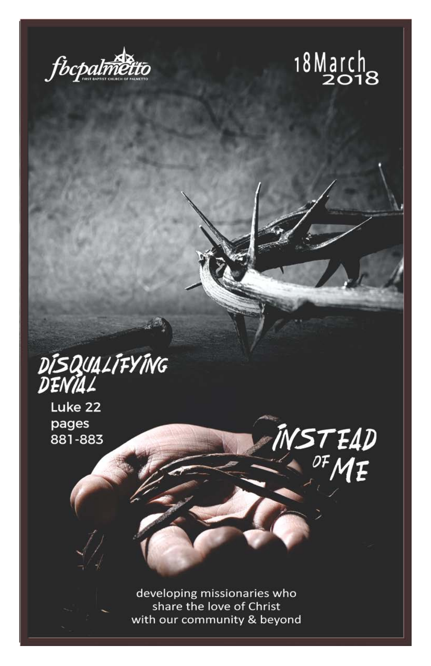



INSTEAD<br><sup>OF</sup>ME

# DÍSQUALÍFYÍNG<br>DENÍAL

Luke 22 pages 881-883

> developing missionaries who share the love of Christ with our community & beyond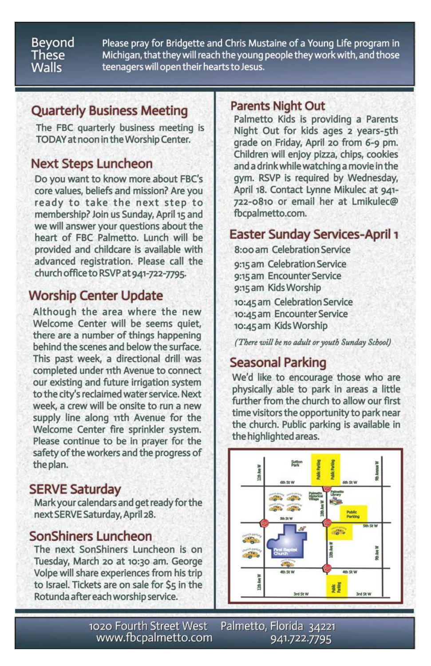#### Beyond These **Walls**

Please pray for Bridgette and Chris Mustaine of a Young Life program in Michigan, that they will reach the young people they work with, and those teenagers will open their hearts to Jesus.

## **Quarterly Business Meeting**

The FBC quarterly business meeting is TODAY at noon in the Worship Center.

## **Next Steps Luncheon**

Do you want to know more about FBC's core values, beliefs and mission? Are you ready to take the next step to membership? Join us Sunday, April 15 and we will answer your questions about the heart of FBC Palmetto. Lunch will be provided and childcare is available with advanced registration. Please call the church office to RSVP at 941-722-7795.

## **Worship Center Update**

Although the area where the new Welcome Center will be seems quiet. there are a number of things happening behind the scenes and below the surface. This past week, a directional drill was completed under 11th Avenue to connect our existing and future irrigation system to the city's reclaimed water service. Next week, a crew will be onsite to run a new supply line along 11th Avenue for the Welcome Center fire sprinkler system. Please continue to be in prayer for the safety of the workers and the progress of the plan.

## **SERVE Saturday**

Mark your calendars and get ready for the next SERVE Saturday, April 28.

## **SonShiners Luncheon**

The next SonShiners Luncheon is on Tuesday, March 20 at 10:30 am. George Volpe will share experiences from his trip to Israel. Tickets are on sale for \$5 in the Rotunda after each worship service.

## **Parents Night Out**

Palmetto Kids is providing a Parents Night Out for kids ages 2 years-5th grade on Friday, April 20 from 6-9 pm. Children will enjoy pizza, chips, cookies and a drink while watching a movie in the gym. RSVP is required by Wednesday, April 18. Contact Lynne Mikulec at 941-722-0810 or email her at Lmikulec@ fbcpalmetto.com.

## **Easter Sunday Services-April 1**

8:00 am Celebration Service 9:15 am Celebration Service 9:15 am Encounter Service 9:15 am Kids Worship

10:45 am Celebration Service 10:45 am Encounter Service 10:45 am Kids Worship

(There will be no adult or youth Sunday School)

## **Seasonal Parking**

We'd like to encourage those who are physically able to park in areas a little further from the church to allow our first time visitors the opportunity to park near the church. Public parking is available in the highlighted areas.



1020 Fourth Street West Palmetto, Florida 34221 www.fbcpalmetto.com 941.722.7795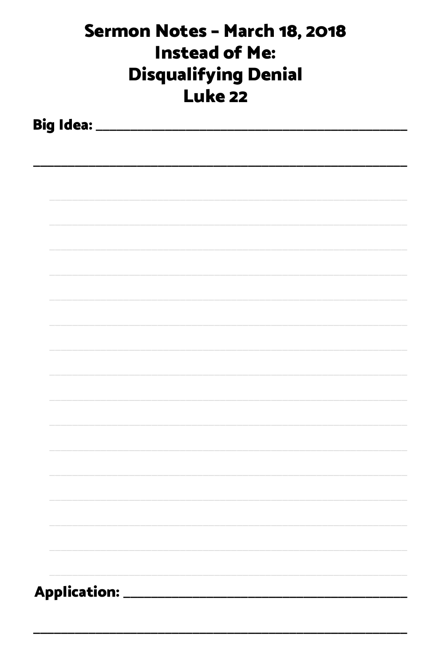| Sermon Notes - March 18, 2018<br><b>Instead of Me:</b><br><b>Disqualifying Denial</b><br><b>Luke 22</b> |  |                               |  |  |  |
|---------------------------------------------------------------------------------------------------------|--|-------------------------------|--|--|--|
|                                                                                                         |  |                               |  |  |  |
|                                                                                                         |  |                               |  |  |  |
|                                                                                                         |  |                               |  |  |  |
|                                                                                                         |  |                               |  |  |  |
|                                                                                                         |  |                               |  |  |  |
|                                                                                                         |  |                               |  |  |  |
|                                                                                                         |  |                               |  |  |  |
|                                                                                                         |  |                               |  |  |  |
|                                                                                                         |  |                               |  |  |  |
|                                                                                                         |  |                               |  |  |  |
|                                                                                                         |  |                               |  |  |  |
|                                                                                                         |  |                               |  |  |  |
|                                                                                                         |  |                               |  |  |  |
|                                                                                                         |  | Application: ________________ |  |  |  |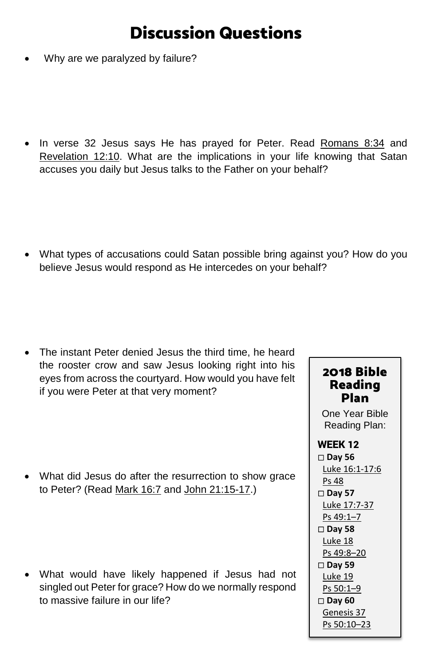# Discussion Questions

Why are we paralyzed by failure?

• In verse 32 Jesus says He has prayed for Peter. Read [Romans 8:34](https://www.biblegateway.com/passage/?search=romans+8%3A34&version=ESV) and [Revelation 12:10.](https://www.biblegateway.com/passage/?search=revelation+12%3A10&version=ESV) What are the implications in your life knowing that Satan accuses you daily but Jesus talks to the Father on your behalf?

• What types of accusations could Satan possible bring against you? How do you believe Jesus would respond as He intercedes on your behalf?

• The instant Peter denied Jesus the third time, he heard the rooster crow and saw Jesus looking right into his eyes from across the courtyard. How would you have felt if you were Peter at that very moment?

• What did Jesus do after the resurrection to show grace to Peter? (Read [Mark 16:7](https://www.biblegateway.com/passage/?search=Mark+16%3A7&version=ESV) and [John 21:15-17.](https://www.biblegateway.com/passage/?search=John+21%3A15-17&version=ESV))

• What would have likely happened if Jesus had not singled out Peter for grace? How do we normally respond to massive failure in our life?

#### 2018 Bible Reading Plan

One Year Bible Reading Plan:

#### WEEK 12 **Day 56** [Luke 16:1-17:6](https://www.biblegateway.com/passage/?search=Luke+16%3A1-17%3A6&version=ESV) [Ps 48](https://www.biblegateway.com/passage/?search=Ps+48&version=ESV) **Day 57** [Luke 17:7-37](https://www.biblegateway.com/passage/?search=Luke+17%3A7-37&version=ESV)

[Ps 49:1–7](https://www.biblegateway.com/passage/?search=Ps+49%3A1%E2%80%937&version=ESV) **Day 58** [Luke 18](https://www.biblegateway.com/passage/?search=Luke+18&version=ESV) [Ps 49:8–20](https://www.biblegateway.com/passage/?search=Ps+49%3A8%E2%80%9320&version=ESV)

 **Day 59** [Luke 19](https://www.biblegateway.com/passage/?search=Luke+19&version=ESV)

[Ps 50:1–9](https://www.biblegateway.com/passage/?search=Ps+50%3A1%E2%80%939&version=ESV)

 **Day 60** [Genesis 37](https://www.biblegateway.com/passage/?search=Genesis+37&version=ESV) [Ps 50:10–23](https://www.biblegateway.com/passage/?search=Ps+50%3A10%E2%80%9323&version=ESV)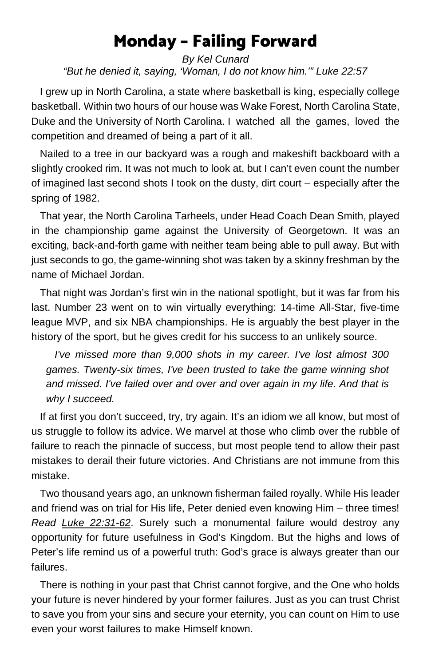# Monday – Failing Forward

#### *By Kel Cunard "But he denied it, saying, 'Woman, I do not know him.'" Luke 22:57*

 I grew up in North Carolina, a state where basketball is king, especially college basketball. Within two hours of our house was Wake Forest, North Carolina State, Duke and the University of North Carolina. I watched all the games, loved the competition and dreamed of being a part of it all.

 Nailed to a tree in our backyard was a rough and makeshift backboard with a slightly crooked rim. It was not much to look at, but I can't even count the number of imagined last second shots I took on the dusty, dirt court – especially after the spring of 1982.

 That year, the North Carolina Tarheels, under Head Coach Dean Smith, played in the championship game against the University of Georgetown. It was an exciting, back-and-forth game with neither team being able to pull away. But with just seconds to go, the game-winning shot was taken by a skinny freshman by the name of Michael Jordan.

 That night was Jordan's first win in the national spotlight, but it was far from his last. Number 23 went on to win virtually everything: 14-time All-Star, five-time league MVP, and six NBA championships. He is arguably the best player in the history of the sport, but he gives credit for his success to an unlikely source.

 *I've missed more than 9,000 shots in my career. I've lost almost 300 games. Twenty-six times, I've been trusted to take the game winning shot and missed. I've failed over and over and over again in my life. And that is why I succeed.*

 If at first you don't succeed, try, try again. It's an idiom we all know, but most of us struggle to follow its advice. We marvel at those who climb over the rubble of failure to reach the pinnacle of success, but most people tend to allow their past mistakes to derail their future victories. And Christians are not immune from this mistake.

 Two thousand years ago, an unknown fisherman failed royally. While His leader and friend was on trial for His life, Peter denied even knowing Him – three times! *Read [Luke 22:31-62](https://www.biblegateway.com/passage/?search=Luke+22%3A31-62&version=ESV)*. Surely such a monumental failure would destroy any opportunity for future usefulness in God's Kingdom. But the highs and lows of Peter's life remind us of a powerful truth: God's grace is always greater than our failures.

 There is nothing in your past that Christ cannot forgive, and the One who holds your future is never hindered by your former failures. Just as you can trust Christ to save you from your sins and secure your eternity, you can count on Him to use even your worst failures to make Himself known.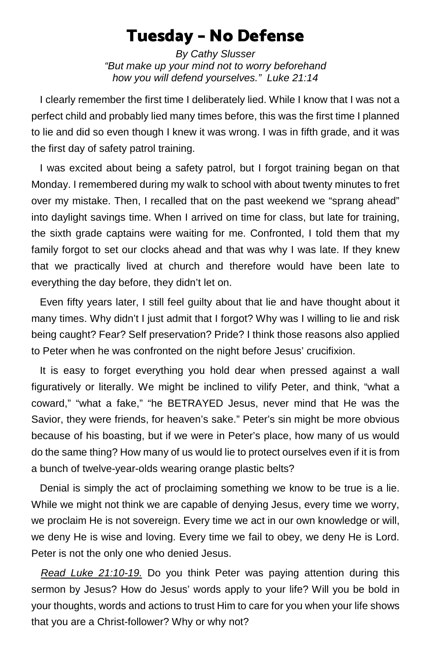## Tuesday – No Defense

*By Cathy Slusser "But make up your mind not to worry beforehand how you will defend yourselves." Luke 21:14*

 I clearly remember the first time I deliberately lied. While I know that I was not a perfect child and probably lied many times before, this was the first time I planned to lie and did so even though I knew it was wrong. I was in fifth grade, and it was the first day of safety patrol training.

 I was excited about being a safety patrol, but I forgot training began on that Monday. I remembered during my walk to school with about twenty minutes to fret over my mistake. Then, I recalled that on the past weekend we "sprang ahead" into daylight savings time. When I arrived on time for class, but late for training, the sixth grade captains were waiting for me. Confronted, I told them that my family forgot to set our clocks ahead and that was why I was late. If they knew that we practically lived at church and therefore would have been late to everything the day before, they didn't let on.

 Even fifty years later, I still feel guilty about that lie and have thought about it many times. Why didn't I just admit that I forgot? Why was I willing to lie and risk being caught? Fear? Self preservation? Pride? I think those reasons also applied to Peter when he was confronted on the night before Jesus' crucifixion.

 It is easy to forget everything you hold dear when pressed against a wall figuratively or literally. We might be inclined to vilify Peter, and think, "what a coward," "what a fake," "he BETRAYED Jesus, never mind that He was the Savior, they were friends, for heaven's sake." Peter's sin might be more obvious because of his boasting, but if we were in Peter's place, how many of us would do the same thing? How many of us would lie to protect ourselves even if it is from a bunch of twelve-year-olds wearing orange plastic belts?

 Denial is simply the act of proclaiming something we know to be true is a lie. While we might not think we are capable of denying Jesus, every time we worry, we proclaim He is not sovereign. Every time we act in our own knowledge or will, we deny He is wise and loving. Every time we fail to obey, we deny He is Lord. Peter is not the only one who denied Jesus.

 *[Read Luke 21:10-19.](https://www.biblegateway.com/passage/?search=Luke+21%3A10-19&version=ESV)* Do you think Peter was paying attention during this sermon by Jesus? How do Jesus' words apply to your life? Will you be bold in your thoughts, words and actions to trust Him to care for you when your life shows that you are a Christ-follower? Why or why not?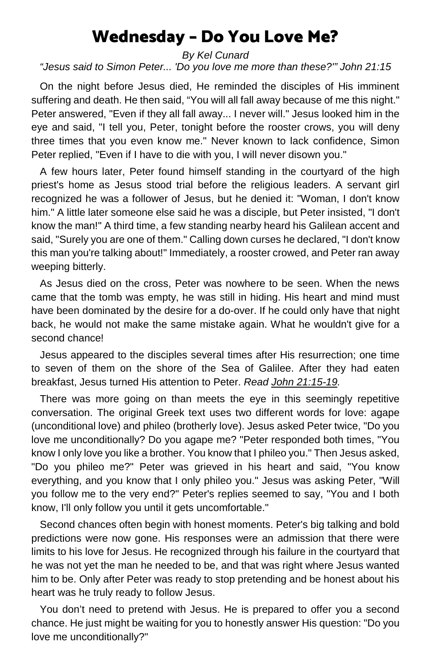## Wednesday – Do You Love Me?

*By Kel Cunard "Jesus said to Simon Peter... 'Do you love me more than these?'" John 21:15* 

 On the night before Jesus died, He reminded the disciples of His imminent suffering and death. He then said, "You will all fall away because of me this night." Peter answered, "Even if they all fall away... I never will." Jesus looked him in the eye and said, "I tell you, Peter, tonight before the rooster crows, you will deny three times that you even know me." Never known to lack confidence, Simon Peter replied, "Even if I have to die with you, I will never disown you."

 A few hours later, Peter found himself standing in the courtyard of the high priest's home as Jesus stood trial before the religious leaders. A servant girl recognized he was a follower of Jesus, but he denied it: "Woman, I don't know him." A little later someone else said he was a disciple, but Peter insisted, "I don't know the man!" A third time, a few standing nearby heard his Galilean accent and said, "Surely you are one of them." Calling down curses he declared, "I don't know this man you're talking about!" Immediately, a rooster crowed, and Peter ran away weeping bitterly.

 As Jesus died on the cross, Peter was nowhere to be seen. When the news came that the tomb was empty, he was still in hiding. His heart and mind must have been dominated by the desire for a do-over. If he could only have that night back, he would not make the same mistake again. What he wouldn't give for a second chance!

 Jesus appeared to the disciples several times after His resurrection; one time to seven of them on the shore of the Sea of Galilee. After they had eaten breakfast, Jesus turned His attention to Peter. *Read [John 21:15-19.](https://www.biblegateway.com/passage/?search=John+21%3A15-19&version=ESV)*

 There was more going on than meets the eye in this seemingly repetitive conversation. The original Greek text uses two different words for love: agape (unconditional love) and phileo (brotherly love). Jesus asked Peter twice, "Do you love me unconditionally? Do you agape me? "Peter responded both times, "You know I only love you like a brother. You know that I phileo you." Then Jesus asked, "Do you phileo me?" Peter was grieved in his heart and said, "You know everything, and you know that I only phileo you." Jesus was asking Peter, "Will you follow me to the very end?" Peter's replies seemed to say, "You and I both know, I'll only follow you until it gets uncomfortable."

 Second chances often begin with honest moments. Peter's big talking and bold predictions were now gone. His responses were an admission that there were limits to his love for Jesus. He recognized through his failure in the courtyard that he was not yet the man he needed to be, and that was right where Jesus wanted him to be. Only after Peter was ready to stop pretending and be honest about his heart was he truly ready to follow Jesus.

 You don't need to pretend with Jesus. He is prepared to offer you a second chance. He just might be waiting for you to honestly answer His question: "Do you love me unconditionally?"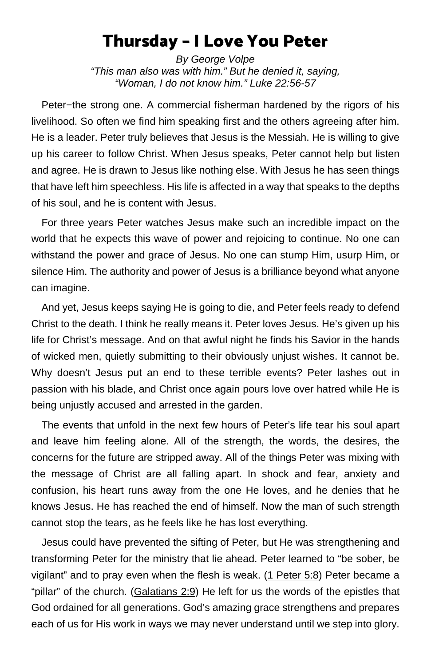## Thursday – I Love You Peter

*By George Volpe "This man also was with him." But he denied it, saying, "Woman, I do not know him." Luke 22:56-57*

Peter−the strong one. A commercial fisherman hardened by the rigors of his livelihood. So often we find him speaking first and the others agreeing after him. He is a leader. Peter truly believes that Jesus is the Messiah. He is willing to give up his career to follow Christ. When Jesus speaks, Peter cannot help but listen and agree. He is drawn to Jesus like nothing else. With Jesus he has seen things that have left him speechless. His life is affected in a way that speaks to the depths of his soul, and he is content with Jesus.

For three years Peter watches Jesus make such an incredible impact on the world that he expects this wave of power and rejoicing to continue. No one can withstand the power and grace of Jesus. No one can stump Him, usurp Him, or silence Him. The authority and power of Jesus is a brilliance beyond what anyone can imagine.

And yet, Jesus keeps saying He is going to die, and Peter feels ready to defend Christ to the death. I think he really means it. Peter loves Jesus. He's given up his life for Christ's message. And on that awful night he finds his Savior in the hands of wicked men, quietly submitting to their obviously unjust wishes. It cannot be. Why doesn't Jesus put an end to these terrible events? Peter lashes out in passion with his blade, and Christ once again pours love over hatred while He is being unjustly accused and arrested in the garden.

The events that unfold in the next few hours of Peter's life tear his soul apart and leave him feeling alone. All of the strength, the words, the desires, the concerns for the future are stripped away. All of the things Peter was mixing with the message of Christ are all falling apart. In shock and fear, anxiety and confusion, his heart runs away from the one He loves, and he denies that he knows Jesus. He has reached the end of himself. Now the man of such strength cannot stop the tears, as he feels like he has lost everything.

Jesus could have prevented the sifting of Peter, but He was strengthening and transforming Peter for the ministry that lie ahead. Peter learned to "be sober, be vigilant" and to pray even when the flesh is weak. [\(1 Peter 5:8\)](https://www.biblegateway.com/passage/?search=1+Peter+5%3A8&version=ESV) Peter became a "pillar" of the church. [\(Galatians 2:9\)](https://www.biblegateway.com/passage/?search=Galatians+2%3A9&version=ESV) He left for us the words of the epistles that God ordained for all generations. God's amazing grace strengthens and prepares each of us for His work in ways we may never understand until we step into glory.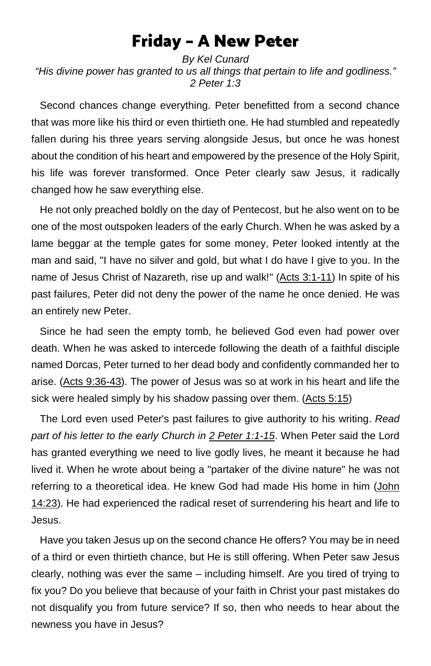## Friday – A New Peter

*By Kel Cunard "His divine power has granted to us all things that pertain to life and godliness." 2 Peter 1:3*

Second chances change everything. Peter benefitted from a second chance that was more like his third or even thirtieth one. He had stumbled and repeatedly fallen during his three years serving alongside Jesus, but once he was honest about the condition of his heart and empowered by the presence of the Holy Spirit, his life was forever transformed. Once Peter clearly saw Jesus, it radically changed how he saw everything else.

 He not only preached boldly on the day of Pentecost, but he also went on to be one of the most outspoken leaders of the early Church. When he was asked by a lame beggar at the temple gates for some money, Peter looked intently at the man and said, "I have no silver and gold, but what I do have I give to you. In the name of Jesus Christ of Nazareth, rise up and walk!" [\(Acts 3:1-11\)](https://www.biblegateway.com/passage/?search=Acts+3%3A1-11&version=ESV) In spite of his past failures, Peter did not deny the power of the name he once denied. He was an entirely new Peter.

 Since he had seen the empty tomb, he believed God even had power over death. When he was asked to intercede following the death of a faithful disciple named Dorcas, Peter turned to her dead body and confidently commanded her to arise. [\(Acts 9:36-43\)](https://www.biblegateway.com/passage/?search=Acts+9%3A36-43&version=ESV). The power of Jesus was so at work in his heart and life the sick were healed simply by his shadow passing over them. [\(Acts 5:15\)](https://www.biblegateway.com/passage/?search=Acts+5%3A15&version=ESV)

 The Lord even used Peter's past failures to give authority to his writing. *Read part of his letter to the early Church in 2 [Peter 1:1-15](https://www.biblegateway.com/passage/?search=2+Peter+1%3A1-15&version=ESV)*. When Peter said the Lord has granted everything we need to live godly lives, he meant it because he had lived it. When he wrote about being a "partaker of the divine nature" he was not referring to a theoretical idea. He knew God had made His home in him [\(John](https://www.biblegateway.com/passage/?search=John+14%3A23&version=ESV)  [14:23\)](https://www.biblegateway.com/passage/?search=John+14%3A23&version=ESV). He had experienced the radical reset of surrendering his heart and life to Jesus.

 Have you taken Jesus up on the second chance He offers? You may be in need of a third or even thirtieth chance, but He is still offering. When Peter saw Jesus clearly, nothing was ever the same – including himself. Are you tired of trying to fix you? Do you believe that because of your faith in Christ your past mistakes do not disqualify you from future service? If so, then who needs to hear about the newness you have in Jesus?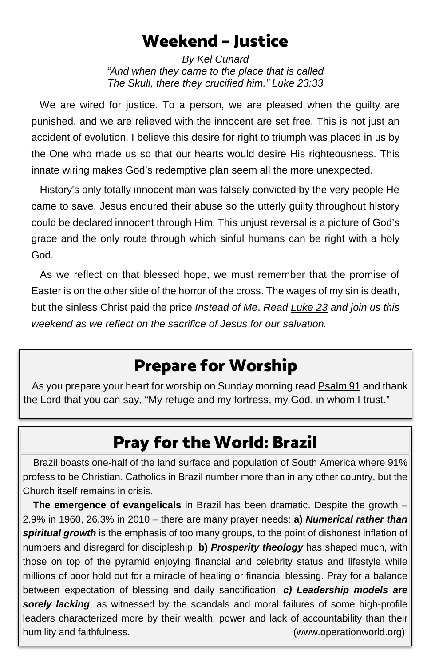## Weekend – Justice

*By Kel Cunard "And when they came to the place that is called The Skull, there they crucified him." Luke 23:33*

 We are wired for justice. To a person, we are pleased when the guilty are punished, and we are relieved with the innocent are set free. This is not just an accident of evolution. I believe this desire for right to triumph was placed in us by the One who made us so that our hearts would desire His righteousness. This innate wiring makes God's redemptive plan seem all the more unexpected.

 History's only totally innocent man was falsely convicted by the very people He came to save. Jesus endured their abuse so the utterly guilty throughout history could be declared innocent through Him. This unjust reversal is a picture of God's grace and the only route through which sinful humans can be right with a holy God.

 As we reflect on that blessed hope, we must remember that the promise of Easter is on the other side of the horror of the cross. The wages of my sin is death, but the sinless Christ paid the price *Instead of Me*. *Read [Luke 23](https://www.biblegateway.com/passage/?search=Luke+23+&version=ESV) and join us this weekend as we reflect on the sacrifice of Jesus for our salvation.*

# Prepare for Worship

 As you prepare your heart for worship on Sunday morning rea[d Psalm 91](https://www.biblegateway.com/passage/?search=Psalm+91&version=ESV) and thank the Lord that you can say, "My refuge and my fortress, my God, in whom I trust."

# Pray for the World: Brazil

Brazil boasts one-half of the land surface and population of South America where 91% profess to be Christian. Catholics in Brazil number more than in any other country, but the Church itself remains in crisis.

**The emergence of evangelicals** in Brazil has been dramatic. Despite the growth – 2.9% in 1960, 26.3% in 2010 – there are many prayer needs: **a)** *Numerical rather than spiritual growth* is the emphasis of too many groups, to the point of dishonest inflation of numbers and disregard for discipleship. **b)** *Prosperity theology* has shaped much, with those on top of the pyramid enjoying financial and celebrity status and lifestyle while millions of poor hold out for a miracle of healing or financial blessing. Pray for a balance between expectation of blessing and daily sanctification. *c) Leadership models are sorely lacking*, as witnessed by the scandals and moral failures of some high-profile leaders characterized more by their wealth, power and lack of accountability than their humility and faithfulness. (www.operationworld.org)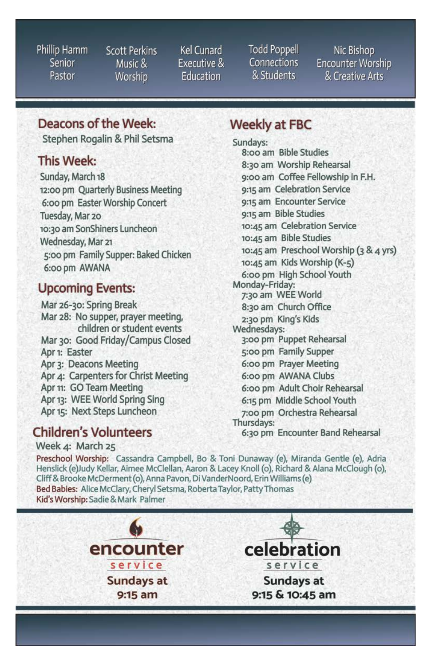Phillip Hamm Senior Pastor

**Scott Perkins** Music & Worship

**Kel Cunard** Executive & Education

**Todd Poppell** Connections & Students

Nic Bishop **Encounter Worship** & Creative Arts

## Deacons of the Week:

Stephen Rogalin & Phil Setsma

### This Week:

Sunday, March 18 12:00 pm Quarterly Business Meeting 6:00 pm Easter Worship Concert Tuesday, Mar 20 10:30 am SonShiners Luncheon Wednesday, Mar 21 5:00 pm Family Supper: Baked Chicken 6:00 pm AWANA

## **Upcoming Events:**

Mar 26-30: Spring Break Mar 28: No supper, prayer meeting, children or student events Mar 30: Good Friday/Campus Closed Apr 1: Easter Apr 3: Deacons Meeting Apr 4: Carpenters for Christ Meeting Apr 11: GO Team Meeting Apr 13: WEE World Spring Sing Apr 15: Next Steps Luncheon

## **Children's Volunteers**

Week 4: March 25

## **Weekly at FBC**

Sundays: 8:00 am Bible Studies 8:30 am Worship Rehearsal 9:00 am Coffee Fellowship in F.H. 9:15 am Celebration Service 9:15 am Encounter Service 9:15 am Bible Studies 10:45 am Celebration Service 10:45 am Bible Studies 10:45 am Preschool Worship (3 & 4 yrs) 10:45 am Kids Worship (K-5) 6:00 pm High School Youth Monday-Friday: 7:30 am WEE World 8:30 am Church Office 2:30 pm King's Kids Wednesdays: 3:00 pm Puppet Rehearsal 5:00 pm Family Supper 6:00 pm Prayer Meeting 6:00 pm AWANA Clubs 6:00 pm Adult Choir Rehearsal 6:15 pm Middle School Youth 7:00 pm Orchestra Rehearsal Thursdays: 6:30 pm Encounter Band Rehearsal

Preschool Worship: Cassandra Campbell, Bo & Toni Dunaway (e), Miranda Gentle (e), Adria Henslick (e)Judy Kellar, Aimee McClellan, Aaron & Lacey Knoll (o), Richard & Alana McClough (o), Cliff & Brooke McDerment (o), Anna Pavon, Di VanderNoord, Erin Williams (e) Bed Babies: Alice McClary, Cheryl Setsma, Roberta Taylor, Patty Thomas Kid's Worship: Sadie & Mark Palmer